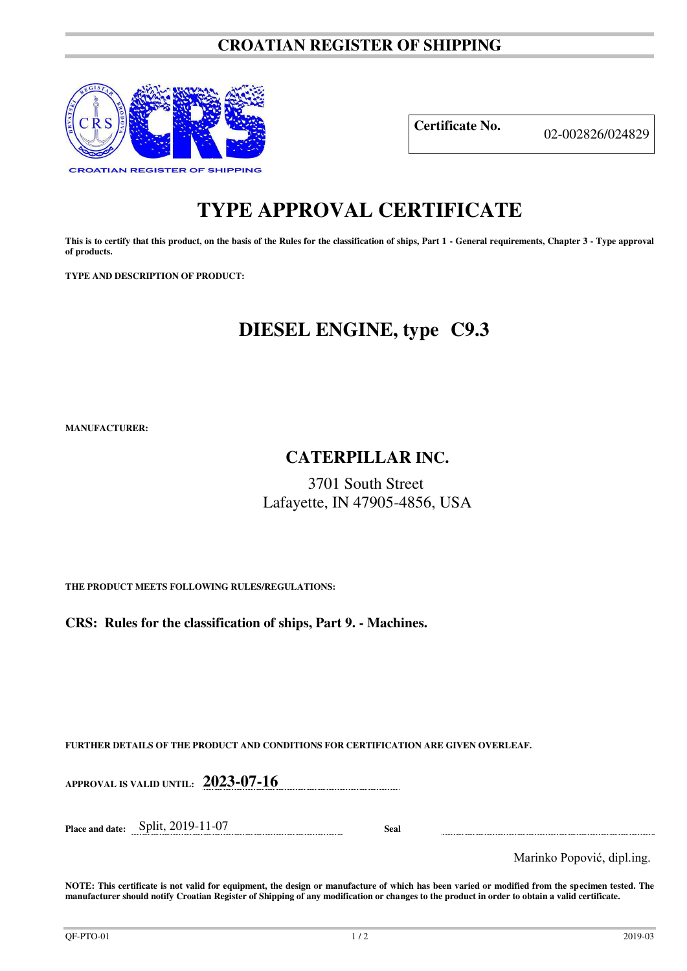#### **CROATIAN REGISTER OF SHIPPING**



**Certificate No.** 02-002826/024829

## **TYPE APPROVAL CERTIFICATE**

This is to certify that this product, on the basis of the Rules for the classification of ships, Part 1 - General requirements, Chapter 3 - Type approval **of products.** 

**TYPE AND DESCRIPTION OF PRODUCT:** 

## **DIESEL ENGINE, type C9.3**

**MANUFACTURER:**

### **CATERPILLAR INC.**

3701 South Street Lafayette, IN 47905-4856, USA

**THE PRODUCT MEETS FOLLOWING RULES/REGULATIONS:**

**CRS: Rules for the classification of ships, Part 9. - Machines.**

**FURTHER DETAILS OF THE PRODUCT AND CONDITIONS FOR CERTIFICATION ARE GIVEN OVERLEAF.**

**APPROVAL IS VALID UNTIL: 2023-07-16**

**Place and date:** Split, 2019-11-07 **Seal** 

Marinko Popović, dipl.ing.

**NOTE: This certificate is not valid for equipment, the design or manufacture of which has been varied or modified from the specimen tested. The manufacturer should notify Croatian Register of Shipping of any modification or changes to the product in order to obtain a valid certificate.**